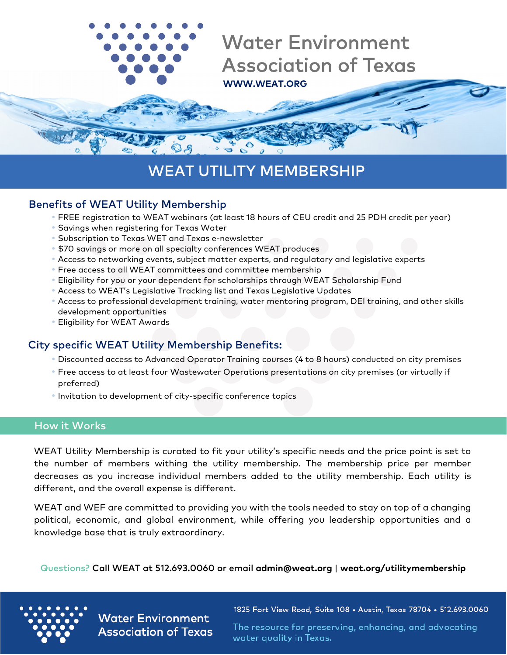

# WEAT UTILITY MEMBERSHIP

#### Benefits of WEAT Utility Membership

- •FREE registration to WEAT webinars (at least 18 hours of CEU credit and 25 PDH credit per year)
- •Savings when registering for Texas Water
- •Subscription to Texas WET and Texas e-newsletter
- \$70 savings or more on all specialty conferences WEAT produces
- Access to networking events, subject matter experts, and regulatory and legislative experts
- •Free access to all WEAT committees and committee membership
- •Eligibility for you or your dependent for scholarships through WEAT Scholarship Fund
- Access to WEAT's Legislative Tracking list and Texas Legislative Updates
- Access to professional development training, water mentoring program, DEI training, and other skills development opportunities
- •Eligibility for WEAT Awards

### City specific WEAT Utility Membership Benefits:

- Discounted access to Advanced Operator Training courses (4 to 8 hours) conducted on city premises
- •Free access to at least four Wastewater Operations presentations on city premises (or virtually if preferred)
- •Invitation to development of city-specific conference topics

#### How it Works

WEAT Utility Membership is curated to fit your utility's specific needs and the price point is set to the number of members withing the utility membership. The membership price per member decreases as you increase individual members added to the utility membership. Each utility is different, and the overall expense is different.

WEAT and WEF are committed to providing you with the tools needed to stay on top of a changing political, economic, and global environment, while offering you leadership opportunities and a knowledge base that is truly extraordinary.

Questions? Call WEAT at 512.693.0060 or email **[admin@weat.org](mailto:admin@weat.org)** | **weat.org/utilitymembership**



**Water Environment Association of Texas**  1825 Fort View Road, Suite 108 • Austin, Texas 78704 • 512.693.0060

The resource for preserving, enhancing, and advocating water quality in Texas.